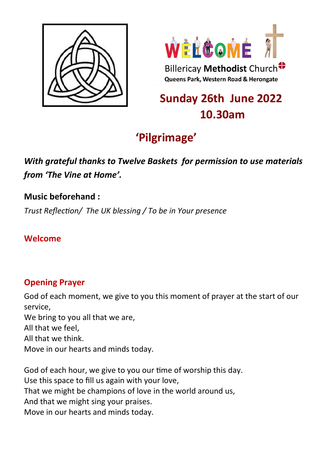



# **Sunday 26th June 2022 10.30am**

# **'Pilgrimage'**

## *With grateful thanks to Twelve Baskets for permission to use materials from 'The Vine at Home'.*

### **Music beforehand :**

*Trust Reflection/ The UK blessing / To be in Your presence*

### **Welcome**

## **Opening Prayer**

God of each moment, we give to you this moment of prayer at the start of our service, We bring to you all that we are, All that we feel, All that we think. Move in our hearts and minds today.

God of each hour, we give to you our time of worship this day. Use this space to fill us again with your love, That we might be champions of love in the world around us, And that we might sing your praises. Move in our hearts and minds today.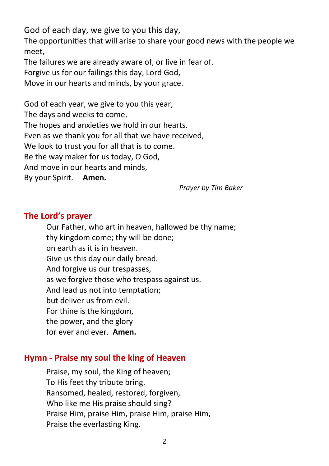God of each day, we give to you this day,

The opportunities that will arise to share your good news with the people we meet,

The failures we are already aware of, or live in fear of.

Forgive us for our failings this day, Lord God,

Move in our hearts and minds, by your grace.

God of each year, we give to you this year, The days and weeks to come, The hopes and anxieties we hold in our hearts. Even as we thank you for all that we have received, We look to trust you for all that is to come. Be the way maker for us today, O God, And move in our hearts and minds, By your Spirit. **Amen.**

*Prayer by Tim Baker*

#### **The Lord's prayer**

Our Father, who art in heaven, hallowed be thy name; thy kingdom come; thy will be done; on earth as it is in heaven. Give us this day our daily bread. And forgive us our trespasses, as we forgive those who trespass against us. And lead us not into temptation; but deliver us from evil. For thine is the kingdom, the power, and the glory for ever and ever. **Amen.**

#### **Hymn - Praise my soul the king of Heaven**

Praise, my soul, the King of heaven; To His feet thy tribute bring. Ransomed, healed, restored, forgiven, Who like me His praise should sing? Praise Him, praise Him, praise Him, praise Him, Praise the everlasting King.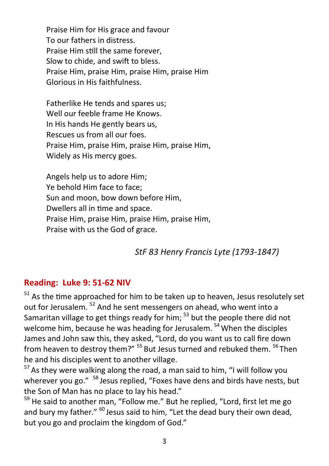Praise Him for His grace and favour To our fathers in distress. Praise Him still the same forever, Slow to chide, and swift to bless. Praise Him, praise Him, praise Him, praise Him Glorious in His faithfulness.

Fatherlike He tends and spares us; Well our feeble frame He Knows. In His hands He gently bears us, Rescues us from all our foes. Praise Him, praise Him, praise Him, praise Him, Widely as His mercy goes.

Angels help us to adore Him; Ye behold Him face to face; Sun and moon, bow down before Him, Dwellers all in time and space. Praise Him, praise Him, praise Him, praise Him, Praise with us the God of grace.

*StF 83 Henry Francis Lyte (1793-1847)* 

#### **Reading: Luke 9: 51-62 NIV**

 $51$  As the time approached for him to be taken up to heaven, Jesus resolutely set out for Jerusalem.<sup>52</sup> And he sent messengers on ahead, who went into a Samaritan village to get things ready for him;  $53$  but the people there did not welcome him, because he was heading for Jerusalem.<sup>54</sup> When the disciples James and John saw this, they asked, "Lord, do you want us to call fire down from heaven to destroy them?" <sup>55</sup> But Jesus turned and rebuked them. <sup>56</sup> Then he and his disciples went to another village.

 $57$  As they were walking along the road, a man said to him, "I will follow you wherever you go." <sup>58</sup> Jesus replied, "Foxes have dens and birds have nests, but the Son of Man has no place to lay his head."

 $59$  He said to another man, "Follow me." But he replied, "Lord, first let me go and bury my father."  $60$  Jesus said to him. "Let the dead bury their own dead, but you go and proclaim the kingdom of God."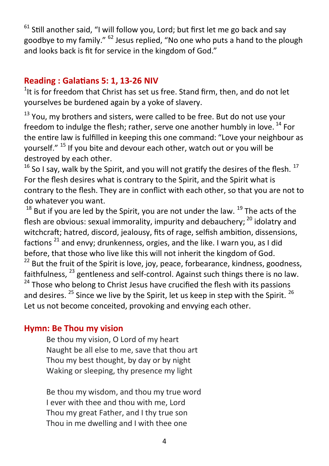$61$  Still another said, "I will follow you, Lord; but first let me go back and say goodbye to my family." <sup>62</sup> Jesus replied, "No one who puts a hand to the plough and looks back is fit for service in the kingdom of God."

#### **Reading : Galatians 5: 1, 13-26 NIV**

 $1$ <sup>1</sup>It is for freedom that Christ has set us free. Stand firm, then, and do not let yourselves be burdened again by a yoke of slavery.

 $13$  You, my brothers and sisters, were called to be free. But do not use your freedom to indulge the flesh; rather, serve one another humbly in love. <sup>14</sup> For the entire law is fulfilled in keeping this one command: "Love your neighbour as yourself." <sup>15</sup> If you bite and devour each other, watch out or you will be destroyed by each other.

 $16$  So I say, walk by the Spirit, and you will not gratify the desires of the flesh.  $17$ For the flesh desires what is contrary to the Spirit, and the Spirit what is contrary to the flesh. They are in conflict with each other, so that you are not to do whatever you want.

 $18$  But if you are led by the Spirit, you are not under the law.  $19$  The acts of the flesh are obvious: sexual immorality, impurity and debauchery:  $^{20}$  idolatry and witchcraft: hatred. discord, jealousy, fits of rage, selfish ambition, dissensions, factions  $^{21}$  and envy: drunkenness, orgies, and the like. I warn you, as I did before, that those who live like this will not inherit the kingdom of God.  $22$  But the fruit of the Spirit is love, joy, peace, forbearance, kindness, goodness, faithfulness,  $^{23}$  gentleness and self-control. Against such things there is no law.  $24$  Those who belong to Christ Jesus have crucified the flesh with its passions and desires.  $25$  Since we live by the Spirit, let us keep in step with the Spirit.  $26$ Let us not become conceited, provoking and envying each other.

#### **Hymn: Be Thou my vision**

Be thou my vision, O Lord of my heart Naught be all else to me, save that thou art Thou my best thought, by day or by night Waking or sleeping, thy presence my light

Be thou my wisdom, and thou my true word I ever with thee and thou with me, Lord Thou my great Father, and I thy true son Thou in me dwelling and I with thee one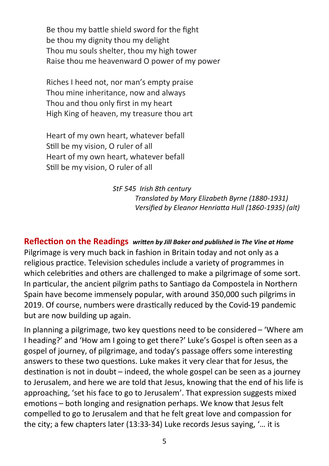Be thou my battle shield sword for the fight be thou my dignity thou my delight Thou mu souls shelter, thou my high tower Raise thou me heavenward O power of my power

Riches I heed not, nor man's empty praise Thou mine inheritance, now and always Thou and thou only first in my heart High King of heaven, my treasure thou art

Heart of my own heart, whatever befall Still be my vision, O ruler of all Heart of my own heart, whatever befall Still be my vision, O ruler of all

> *StF 545 Irish 8th century Translated by Mary Elizabeth Byrne (1880-1931) Versified by Eleanor Henriatta Hull (1860-1935) (alt)*

**Reflection on the Readings** *written by Jill Baker and published in The Vine at Home* Pilgrimage is very much back in fashion in Britain today and not only as a religious practice. Television schedules include a variety of programmes in which celebrities and others are challenged to make a pilgrimage of some sort. In particular, the ancient pilgrim paths to Santiago da Compostela in Northern Spain have become immensely popular, with around 350,000 such pilgrims in 2019. Of course, numbers were drastically reduced by the Covid-19 pandemic but are now building up again.

In planning a pilgrimage, two key questions need to be considered – 'Where am I heading?' and 'How am I going to get there?' Luke's Gospel is often seen as a gospel of journey, of pilgrimage, and today's passage offers some interesting answers to these two questions. Luke makes it very clear that for Jesus, the destination is not in doubt – indeed, the whole gospel can be seen as a journey to Jerusalem, and here we are told that Jesus, knowing that the end of his life is approaching, 'set his face to go to Jerusalem'. That expression suggests mixed emotions – both longing and resignation perhaps. We know that Jesus felt compelled to go to Jerusalem and that he felt great love and compassion for the city; a few chapters later (13:33-34) Luke records Jesus saying, '… it is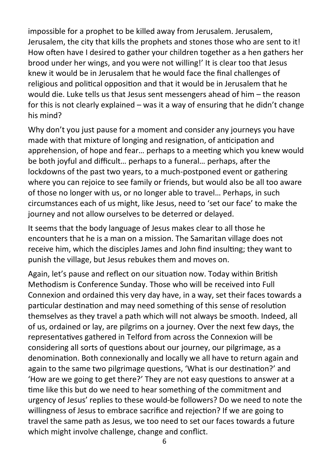impossible for a prophet to be killed away from Jerusalem. Jerusalem, Jerusalem, the city that kills the prophets and stones those who are sent to it! How often have I desired to gather your children together as a hen gathers her brood under her wings, and you were not willing!' It is clear too that Jesus knew it would be in Jerusalem that he would face the final challenges of religious and political opposition and that it would be in Jerusalem that he would die. Luke tells us that Jesus sent messengers ahead of him – the reason for this is not clearly explained – was it a way of ensuring that he didn't change his mind?

Why don't you just pause for a moment and consider any journeys you have made with that mixture of longing and resignation, of anticipation and apprehension, of hope and fear… perhaps to a meeting which you knew would be both joyful and difficult… perhaps to a funeral… perhaps, after the lockdowns of the past two years, to a much-postponed event or gathering where you can rejoice to see family or friends, but would also be all too aware of those no longer with us, or no longer able to travel… Perhaps, in such circumstances each of us might, like Jesus, need to 'set our face' to make the journey and not allow ourselves to be deterred or delayed.

It seems that the body language of Jesus makes clear to all those he encounters that he is a man on a mission. The Samaritan village does not receive him, which the disciples James and John find insulting; they want to punish the village, but Jesus rebukes them and moves on.

Again, let's pause and reflect on our situation now. Today within British Methodism is Conference Sunday. Those who will be received into Full Connexion and ordained this very day have, in a way, set their faces towards a particular destination and may need something of this sense of resolution themselves as they travel a path which will not always be smooth. Indeed, all of us, ordained or lay, are pilgrims on a journey. Over the next few days, the representatives gathered in Telford from across the Connexion will be considering all sorts of questions about our journey, our pilgrimage, as a denomination. Both connexionally and locally we all have to return again and again to the same two pilgrimage questions, 'What is our destination?' and 'How are we going to get there?' They are not easy questions to answer at a time like this but do we need to hear something of the commitment and urgency of Jesus' replies to these would-be followers? Do we need to note the willingness of Jesus to embrace sacrifice and rejection? If we are going to travel the same path as Jesus, we too need to set our faces towards a future which might involve challenge, change and conflict.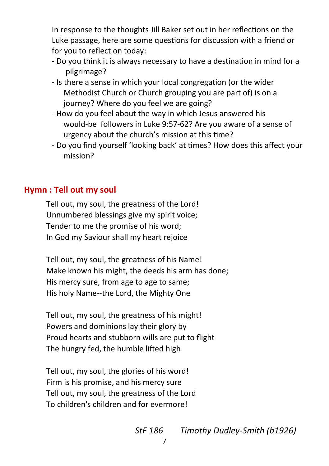In response to the thoughts Jill Baker set out in her reflections on the Luke passage, here are some questions for discussion with a friend or for you to reflect on today:

- Do you think it is always necessary to have a destination in mind for a pilgrimage?
- Is there a sense in which your local congregation (or the wider Methodist Church or Church grouping you are part of) is on a journey? Where do you feel we are going?
- How do you feel about the way in which Jesus answered his would-be followers in Luke 9:57-62? Are you aware of a sense of urgency about the church's mission at this time?
- Do you find yourself 'looking back' at times? How does this affect your mission?

#### **Hymn : Tell out my soul**

Tell out, my soul, the greatness of the Lord! Unnumbered blessings give my spirit voice; Tender to me the promise of his word; In God my Saviour shall my heart rejoice

Tell out, my soul, the greatness of his Name! Make known his might, the deeds his arm has done; His mercy sure, from age to age to same; His holy Name--the Lord, the Mighty One

Tell out, my soul, the greatness of his might! Powers and dominions lay their glory by Proud hearts and stubborn wills are put to flight The hungry fed, the humble lifted high

Tell out, my soul, the glories of his word! Firm is his promise, and his mercy sure Tell out, my soul, the greatness of the Lord To children's children and for evermore!

*StF 186 Timothy Dudley-Smith (b1926)*